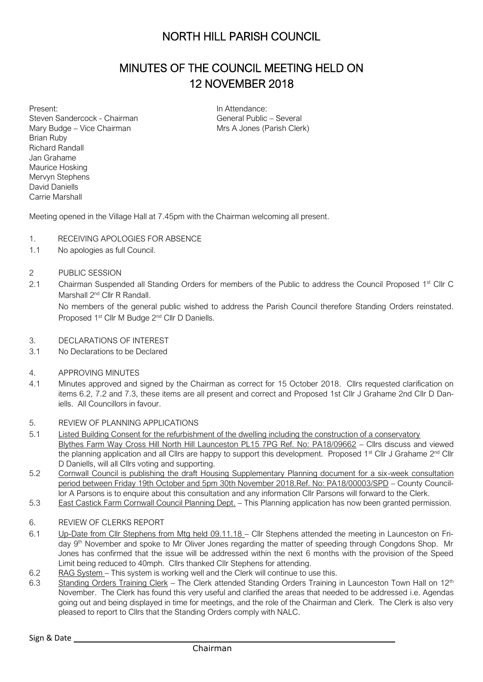## NORTH HILL PARISH COUNCIL

### MINUTES OF THE COUNCIL MEETING HELD ON 12 NOVEMBER 2018

Present: Steven Sandercock - Chairman Mary Budge – Vice Chairman Brian Ruby Richard Randall Jan Grahame Maurice Hosking Mervyn Stephens David Daniells Carrie Marshall

In Attendance: General Public – Several Mrs A Jones (Parish Clerk)

Meeting opened in the Village Hall at 7.45pm with the Chairman welcoming all present.

- 1. RECEIVING APOLOGIES FOR ABSENCE
- 1.1 No apologies as full Council.
- 2 PUBLIC SESSION
- 2.1 Chairman Suspended all Standing Orders for members of the Public to address the Council Proposed 1<sup>st</sup> Cllr C Marshall 2<sup>nd</sup> Cllr R Randall.

No members of the general public wished to address the Parish Council therefore Standing Orders reinstated. Proposed 1st Cllr M Budge 2nd Cllr D Daniells.

- 3. DECLARATIONS OF INTEREST
- 3.1 No Declarations to be Declared
- 4. APPROVING MINUTES
- 4.1 Minutes approved and signed by the Chairman as correct for 15 October 2018. Cllrs requested clarification on items 6.2, 7.2 and 7.3, these items are all present and correct and Proposed 1st Cllr J Grahame 2nd Cllr D Daniells. All Councillors in favour.
- 5. REVIEW OF PLANNING APPLICATIONS
- 5.1 Listed Building Consent for the refurbishment of the dwelling including the construction of a conservatory Blythes Farm Way Cross Hill North Hill Launceston PL15 7PG Ref. No: PA18/09662 – Cllrs discuss and viewed the planning application and all Cllrs are happy to support this development. Proposed 1<sup>st</sup> Cllr J Grahame 2<sup>nd</sup> Cllr D Daniells, will all Cllrs voting and supporting.
- 5.2 Cornwall Council is publishing the draft Housing Supplementary Planning document for a six-week consultation period between Friday 19th October and 5pm 30th November 2018.Ref. No: PA18/00003/SPD – County Councillor A Parsons is to enquire about this consultation and any information Cllr Parsons will forward to the Clerk.
- 5.3 East Castick Farm Cornwall Council Planning Dept. This Planning application has now been granted permission.
- 6. REVIEW OF CLERKS REPORT
- 6.1 Up-Date from Cllr Stephens from Mtg held 09.11.18 Cllr Stephens attended the meeting in Launceston on Friday 9<sup>th</sup> November and spoke to Mr Oliver Jones regarding the matter of speeding through Congdons Shop. Mr Jones has confirmed that the issue will be addressed within the next 6 months with the provision of the Speed Limit being reduced to 40mph. Cllrs thanked Cllr Stephens for attending.
- 6.2 RAG System This system is working well and the Clerk will continue to use this.
- 6.3 Standing Orders Training Clerk The Clerk attended Standing Orders Training in Launceston Town Hall on 12<sup>th</sup> November. The Clerk has found this very useful and clarified the areas that needed to be addressed i.e. Agendas going out and being displayed in time for meetings, and the role of the Chairman and Clerk. The Clerk is also very pleased to report to Cllrs that the Standing Orders comply with NALC.